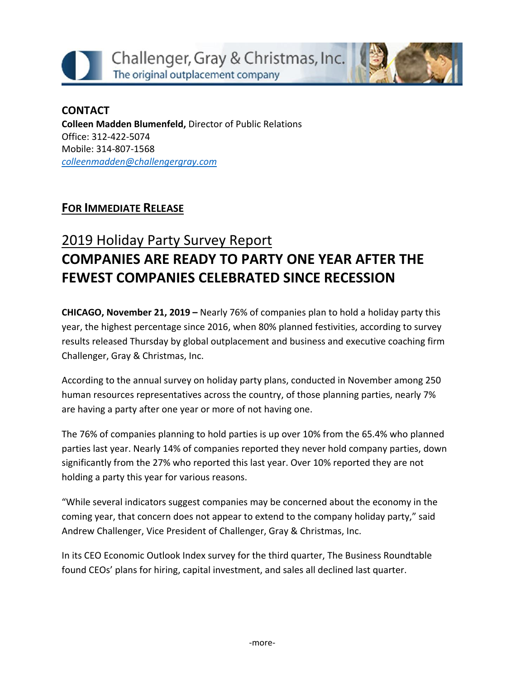



### **CONTACT Colleen Madden Blumenfeld,** Director of Public Relations Office: 312-422-5074 Mobile: 314-807-1568 *[colleenmadden@challengergray.com](mailto:colleenmadden@challengergray.com)*

## **FOR IMMEDIATE RELEASE**

# 2019 Holiday Party Survey Report **COMPANIES ARE READY TO PARTY ONE YEAR AFTER THE FEWEST COMPANIES CELEBRATED SINCE RECESSION**

**CHICAGO, November 21, 2019 –** Nearly 76% of companies plan to hold a holiday party this year, the highest percentage since 2016, when 80% planned festivities, according to survey results released Thursday by global outplacement and business and executive coaching firm Challenger, Gray & Christmas, Inc.

According to the annual survey on holiday party plans, conducted in November among 250 human resources representatives across the country, of those planning parties, nearly 7% are having a party after one year or more of not having one.

The 76% of companies planning to hold parties is up over 10% from the 65.4% who planned parties last year. Nearly 14% of companies reported they never hold company parties, down significantly from the 27% who reported this last year. Over 10% reported they are not holding a party this year for various reasons.

"While several indicators suggest companies may be concerned about the economy in the coming year, that concern does not appear to extend to the company holiday party," said Andrew Challenger, Vice President of Challenger, Gray & Christmas, Inc.

In its CEO Economic Outlook Index survey for the third quarter, The Business Roundtable found CEOs' plans for hiring, capital investment, and sales all declined last quarter.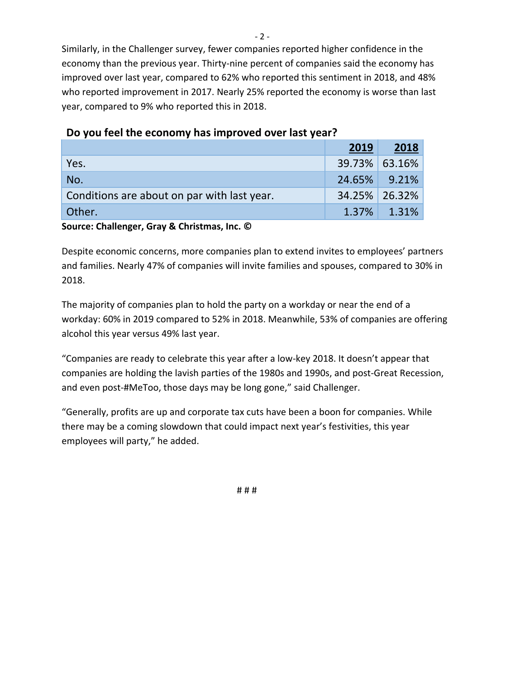Similarly, in the Challenger survey, fewer companies reported higher confidence in the economy than the previous year. Thirty-nine percent of companies said the economy has improved over last year, compared to 62% who reported this sentiment in 2018, and 48% who reported improvement in 2017. Nearly 25% reported the economy is worse than last year, compared to 9% who reported this in 2018.

|                                             | 2019          | 2018        |
|---------------------------------------------|---------------|-------------|
| Yes.                                        | 39.73% 63.16% |             |
| No.                                         | 24.65% 9.21%  |             |
| Conditions are about on par with last year. | 34.25% 26.32% |             |
| Other.                                      |               | 1.37% 1.31% |

### **Do you feel the economy has improved over last year?**

**Source: Challenger, Gray & Christmas, Inc. ©** 

Despite economic concerns, more companies plan to extend invites to employees' partners and families. Nearly 47% of companies will invite families and spouses, compared to 30% in 2018.

The majority of companies plan to hold the party on a workday or near the end of a workday: 60% in 2019 compared to 52% in 2018. Meanwhile, 53% of companies are offering alcohol this year versus 49% last year.

"Companies are ready to celebrate this year after a low-key 2018. It doesn't appear that companies are holding the lavish parties of the 1980s and 1990s, and post-Great Recession, and even post-#MeToo, those days may be long gone," said Challenger.

"Generally, profits are up and corporate tax cuts have been a boon for companies. While there may be a coming slowdown that could impact next year's festivities, this year employees will party," he added.

# # #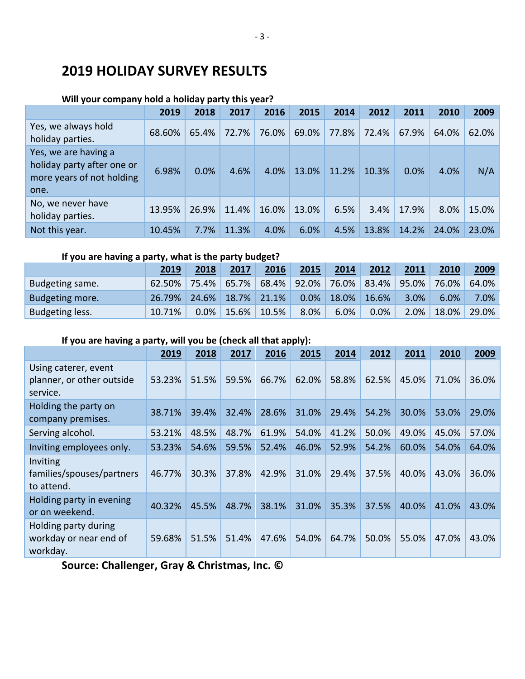# **2019 HOLIDAY SURVEY RESULTS**

#### **Will your company hold a holiday party this year?**

|                                                                                         | 2019   | 2018  | 2017  | 2016  | 2015  | 2014  | 2012  | 2011  | 2010  | 2009  |
|-----------------------------------------------------------------------------------------|--------|-------|-------|-------|-------|-------|-------|-------|-------|-------|
| Yes, we always hold<br>holiday parties.                                                 | 68.60% | 65.4% | 72.7% | 76.0% | 69.0% | 77.8% | 72.4% | 67.9% | 64.0% | 62.0% |
| Yes, we are having a<br>holiday party after one or<br>more years of not holding<br>one. | 6.98%  | 0.0%  | 4.6%  | 4.0%  | 13.0% | 11.2% | 10.3% | 0.0%  | 4.0%  | N/A   |
| No, we never have<br>holiday parties.                                                   | 13.95% | 26.9% | 11.4% | 16.0% | 13.0% | 6.5%  | 3.4%  | 17.9% | 8.0%  | 15.0% |
| Not this year.                                                                          | 10.45% | 7.7%  | 11.3% | 4.0%  | 6.0%  | 4.5%  | 13.8% | 14.2% | 24.0% | 23.0% |

### **If you are having a party, what is the party budget?**

|                 | 2019   | 2018    | 2017  | 2016     | 2015  | 2014  | 2012  | 2011  | 2010  | 2009  |
|-----------------|--------|---------|-------|----------|-------|-------|-------|-------|-------|-------|
| Budgeting same. | 62.50% | 75.4%   | 65.7% | $68.4\%$ | 92.0% | 76.0% | 83.4% | 95.0% | 76.0% | 64.0% |
| Budgeting more. | 26.79% | 24.6%   | 18.7% | 21.1%    | 0.0%  | 18.0% | 16.6% | 3.0%  | 6.0%  | 7.0%  |
| Budgeting less. | 10.71% | $0.0\%$ | 15.6% | 10.5%    | 8.0%  | 6.0%  | 0.0%  | 2.0%  | 18.0% | 29.0% |

### **If you are having a party, will you be (check all that apply):**

|                                                               | 2019   | 2018  | 2017  | 2016  | 2015  | 2014  | 2012  | 2011  | 2010  | 2009  |
|---------------------------------------------------------------|--------|-------|-------|-------|-------|-------|-------|-------|-------|-------|
| Using caterer, event<br>planner, or other outside<br>service. | 53.23% | 51.5% | 59.5% | 66.7% | 62.0% | 58.8% | 62.5% | 45.0% | 71.0% | 36.0% |
| Holding the party on<br>company premises.                     | 38.71% | 39.4% | 32.4% | 28.6% | 31.0% | 29.4% | 54.2% | 30.0% | 53.0% | 29.0% |
| Serving alcohol.                                              | 53.21% | 48.5% | 48.7% | 61.9% | 54.0% | 41.2% | 50.0% | 49.0% | 45.0% | 57.0% |
| Inviting employees only.                                      | 53.23% | 54.6% | 59.5% | 52.4% | 46.0% | 52.9% | 54.2% | 60.0% | 54.0% | 64.0% |
| Inviting<br>families/spouses/partners<br>to attend.           | 46.77% | 30.3% | 37.8% | 42.9% | 31.0% | 29.4% | 37.5% | 40.0% | 43.0% | 36.0% |
| Holding party in evening<br>or on weekend.                    | 40.32% | 45.5% | 48.7% | 38.1% | 31.0% | 35.3% | 37.5% | 40.0% | 41.0% | 43.0% |
| Holding party during<br>workday or near end of<br>workday.    | 59.68% | 51.5% | 51.4% | 47.6% | 54.0% | 64.7% | 50.0% | 55.0% | 47.0% | 43.0% |

**Source: Challenger, Gray & Christmas, Inc. ©**